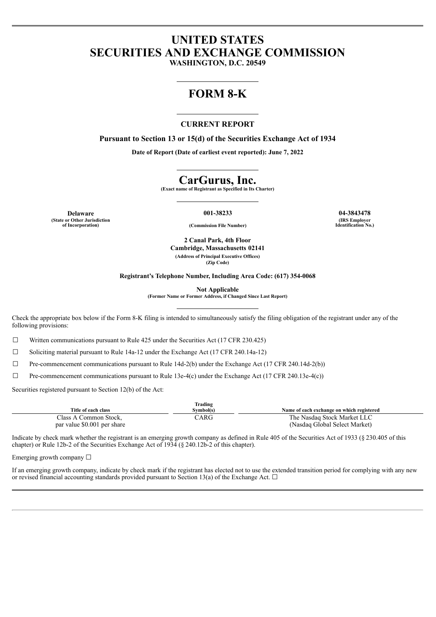# **UNITED STATES SECURITIES AND EXCHANGE COMMISSION**

**WASHINGTON, D.C. 20549**

## **FORM 8-K**

#### **CURRENT REPORT**

**Pursuant to Section 13 or 15(d) of the Securities Exchange Act of 1934**

**Date of Report (Date of earliest event reported): June 7, 2022**

### **CarGurus, Inc.**

**(Exact name of Registrant as Specified in Its Charter)**

**Delaware 001-38233 04-3843478 (State or Other Jurisdiction**

**of Incorporation) (Commission File Number)**

**(IRS Employer Identification No.)**

**2 Canal Park, 4th Floor Cambridge, Massachusetts 02141 (Address of Principal Executive Offices) (Zip Code)**

**Registrant's Telephone Number, Including Area Code: (617) 354-0068**

**Not Applicable**

**(Former Name or Former Address, if Changed Since Last Report)**

Check the appropriate box below if the Form 8-K filing is intended to simultaneously satisfy the filing obligation of the registrant under any of the following provisions:

 $\Box$  Written communications pursuant to Rule 425 under the Securities Act (17 CFR 230.425)

☐ Soliciting material pursuant to Rule 14a-12 under the Exchange Act (17 CFR 240.14a-12)

 $\Box$  Pre-commencement communications pursuant to Rule 14d-2(b) under the Exchange Act (17 CFR 240.14d-2(b))

 $\Box$  Pre-commencement communications pursuant to Rule 13e-4(c) under the Exchange Act (17 CFR 240.13e-4(c))

Securities registered pursuant to Section 12(b) of the Act:

| Trading                     |           |                                           |  |  |  |
|-----------------------------|-----------|-------------------------------------------|--|--|--|
| Title of each class         | Symbol(s) | Name of each exchange on which registered |  |  |  |
| Class A Common Stock.       | CARG      | The Nasdag Stock Market LLC               |  |  |  |
| par value \$0.001 per share |           | (Nasdaq Global Select Market)             |  |  |  |

Indicate by check mark whether the registrant is an emerging growth company as defined in Rule 405 of the Securities Act of 1933 (§ 230.405 of this chapter) or Rule 12b-2 of the Securities Exchange Act of 1934 (§ 240.12b-2 of this chapter).

Emerging growth company  $\Box$ 

If an emerging growth company, indicate by check mark if the registrant has elected not to use the extended transition period for complying with any new or revised financial accounting standards provided pursuant to Section 13(a) of the Exchange Act.  $\Box$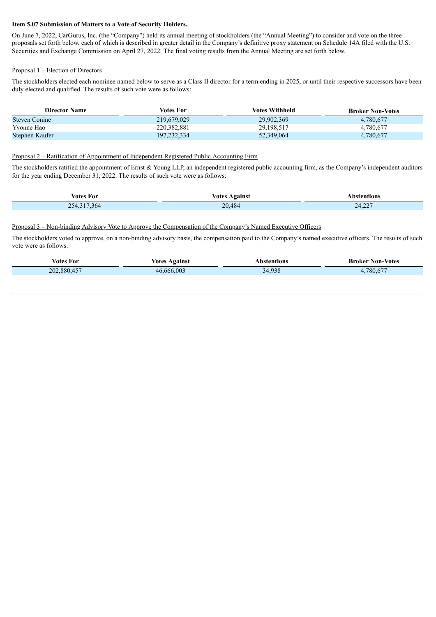#### **Item 5.07 Submission of Matters to a Vote of Security Holders.**

On June 7, 2022, CarGurus, Inc. (the "Company") held its annual meeting of stockholders (the "Annual Meeting") to consider and vote on the three proposals set forth below, each of which is described in greater detail in the Company's definitive proxy statement on Schedule 14A filed with the U.S. Securities and Exchange Commission on April 27, 2022. The final voting results from the Annual Meeting are set forth below.

#### Proposal 1 – Election of Directors

The stockholders elected each nominee named below to serve as a Class II director for a term ending in 2025, or until their respective successors have been duly elected and qualified. The results of such vote were as follows:

| <b>Director Name</b> | Votes For     | <b>Votes Withheld</b> | <b>Broker Non-Votes</b> |
|----------------------|---------------|-----------------------|-------------------------|
| <b>Steven Conine</b> | 219,679,029   | 29,902,369            | 4,780,677               |
| Yvonne Hao           | 220, 382, 881 | 29,198,517            | 4,780,677               |
| Stephen Kaufer       | 197,232,334   | 52,349,064            | 4,780,677               |

#### Proposal 2 – Ratification of Appointment of Independent Registered Public Accounting Firm

The stockholders ratified the appointment of Ernst & Young LLP, an independent registered public accounting firm, as the Company's independent auditors for the year ending December 31, 2022. The results of such vote were as follows:

| Votes For    | <b>\gainst</b><br>Votes | ntions |
|--------------|-------------------------|--------|
| 254.<br>.364 | 20.484                  | 24,227 |

#### Proposal 3 – Non-binding Advisory Vote to Approve the Compensation of the Company's Named Executive Officers

The stockholders voted to approve, on a non-binding advisory basis, the compensation paid to the Company's named executive officers. The results of such vote were as follows:

| votes For        | /otes<br><b>\gainst</b> | tions                | <b>Non-Votes</b><br>Broker |
|------------------|-------------------------|----------------------|----------------------------|
| .2880.457<br>202 | 4666600                 | 020<br>$\mathcal{L}$ | 700(77)<br>$\sim$          |
|                  |                         |                      |                            |